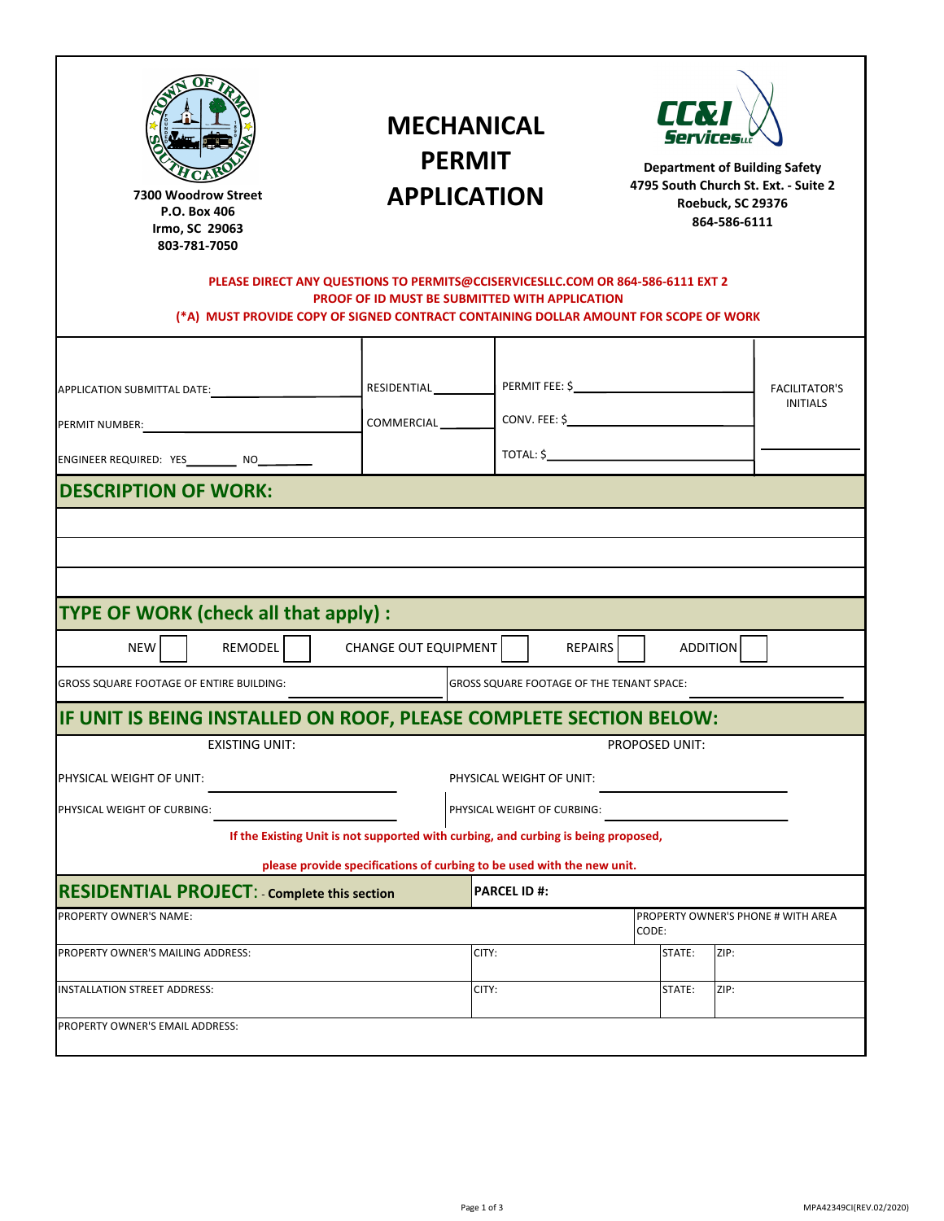| 12 est Main Street<br>illiamston, SC 2<br>$- - - 3$                                                                                                                                                                       |                                         | <b>MECHANICAL</b><br><b>PERMIT</b><br><b>APPLICATION</b>                                                                                                 |                                                         | <b>CCT</b><br>Services<br><b>Department of Building Safety</b><br>4795 South Church St. Ext. - Suite 2<br>Roebuck, SC 29376<br>864-586-6111 |                                         |  |
|---------------------------------------------------------------------------------------------------------------------------------------------------------------------------------------------------------------------------|-----------------------------------------|----------------------------------------------------------------------------------------------------------------------------------------------------------|---------------------------------------------------------|---------------------------------------------------------------------------------------------------------------------------------------------|-----------------------------------------|--|
| PLEASE DIRECT ANY QUESTIONS TO PERMITS@CCISERVICESLLC.COM OR 864-586-6111 EXT 2<br>PROOF OF ID MUST BE SUBMITTED WITH APPLICATION<br>(*A) MUST PROVIDE COPY OF SIGNED CONTRACT CONTAINING DOLLAR AMOUNT FOR SCOPE OF WORK |                                         |                                                                                                                                                          |                                                         |                                                                                                                                             |                                         |  |
| APPLICATION SUBMITTAL DATE:<br>PERMIT NUMBER:<br>ENGINEER REQUIRED: YES__________ NO_________                                                                                                                             | <u> 1990 - Johann Barbara, martin a</u> | RESIDENTIAL<br>COMMERCIAL                                                                                                                                | PERMIT FEE: \$                                          |                                                                                                                                             | <b>FACILITATOR'S</b><br><b>INITIALS</b> |  |
|                                                                                                                                                                                                                           |                                         |                                                                                                                                                          |                                                         |                                                                                                                                             |                                         |  |
| TYPE OF WORK (check all that apply) :<br><b>NEW</b>                                                                                                                                                                       | <b>REMODEL</b>                          | CHANGE OUT EQUIPMENT                                                                                                                                     | <b>REPAIRS</b>                                          |                                                                                                                                             | <b>ADDITION</b>                         |  |
|                                                                                                                                                                                                                           |                                         |                                                                                                                                                          | GROSS SQUARE FOOTAGE OF THE TENANT SPACE:               |                                                                                                                                             |                                         |  |
| <b>GROSS SQUARE FOOTAGE OF ENTIRE BUILDING:</b><br>PHYSICAL WEIGHT OF UNIT:<br>PHYSICAL WEIGHT OF CURBING:                                                                                                                | EXISTING UNIT:                          | IF UNIT IS BEING INSTALLED ON ROOF, PLEASE COMPLETE SECTION BELOW:<br>If the Existing Unit is not supported with curbing, and curbing is being proposed, | PHYSICAL WEIGHT OF UNIT:<br>PHYSICAL WEIGHT OF CURBING: | PROPOSED UNIT:                                                                                                                              |                                         |  |
|                                                                                                                                                                                                                           |                                         | please provide specifications of curbing to be used with the new unit.                                                                                   | <b>PARCEL ID #:</b>                                     |                                                                                                                                             |                                         |  |
|                                                                                                                                                                                                                           |                                         |                                                                                                                                                          |                                                         | CODE:                                                                                                                                       | PROPERTY OWNER'S PHONE # WITH AREA      |  |
| <b>RESIDENTIAL PROJECT:</b> - Complete this section<br>PROPERTY OWNER'S NAME:<br>PROPERTY OWNER'S MAILING ADDRESS:<br>INSTALLATION STREET ADDRESS:                                                                        |                                         | CITY:<br>CITY:                                                                                                                                           |                                                         | STATE:<br>STATE:                                                                                                                            | ZIP:<br>ZIP:                            |  |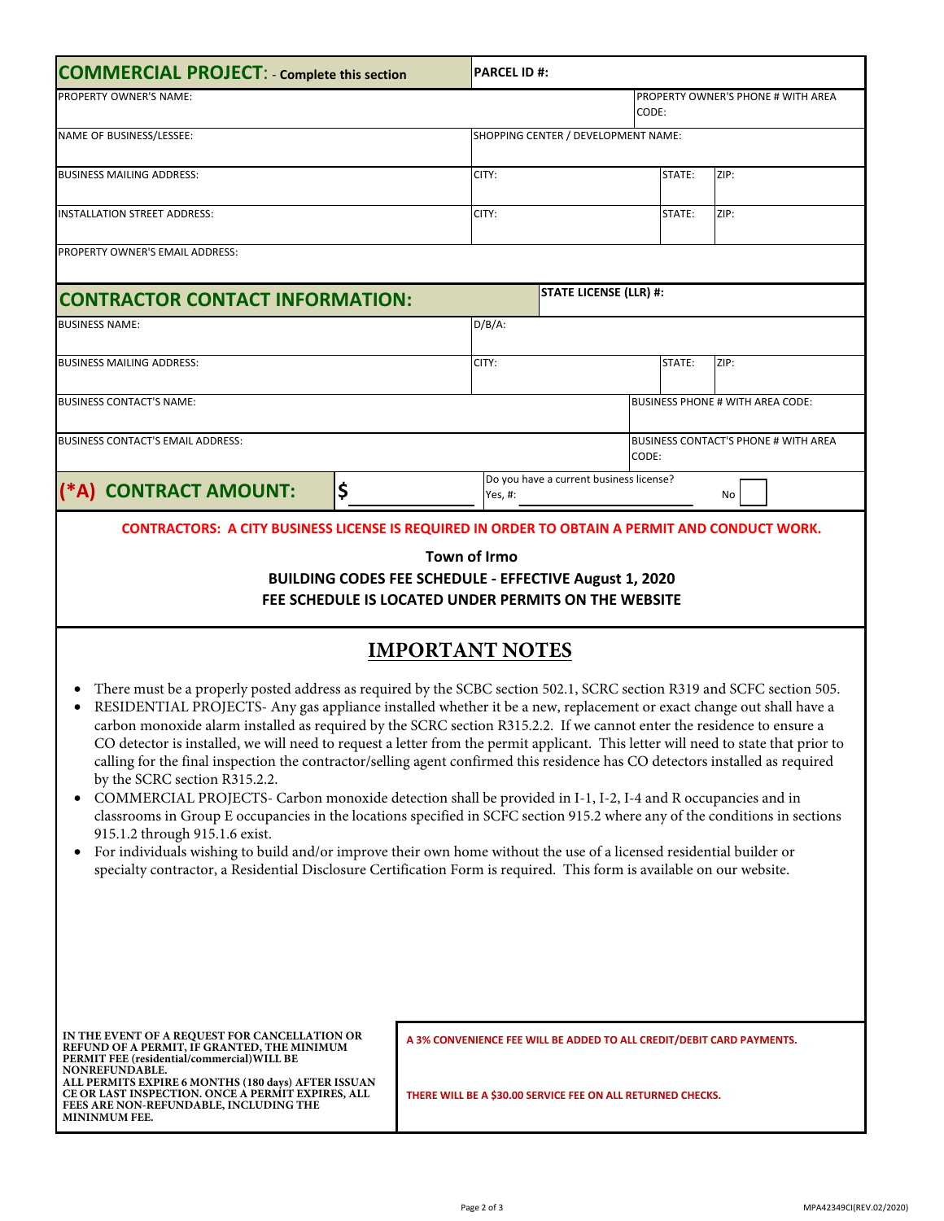| <b>COMMERCIAL PROJECT: - Complete this section</b>                                                                                                                                                                                                                                                                                                                                                                                                                                                                                                                                                                                                                                                                                                                                                                                                                                                                                                                                                                                                                                                                                                                                                                                      |    |       | <b>PARCEL ID #:</b>                              |                                                                                                                                      |      |      |  |
|-----------------------------------------------------------------------------------------------------------------------------------------------------------------------------------------------------------------------------------------------------------------------------------------------------------------------------------------------------------------------------------------------------------------------------------------------------------------------------------------------------------------------------------------------------------------------------------------------------------------------------------------------------------------------------------------------------------------------------------------------------------------------------------------------------------------------------------------------------------------------------------------------------------------------------------------------------------------------------------------------------------------------------------------------------------------------------------------------------------------------------------------------------------------------------------------------------------------------------------------|----|-------|--------------------------------------------------|--------------------------------------------------------------------------------------------------------------------------------------|------|------|--|
| PROPERTY OWNER'S NAME:                                                                                                                                                                                                                                                                                                                                                                                                                                                                                                                                                                                                                                                                                                                                                                                                                                                                                                                                                                                                                                                                                                                                                                                                                  |    |       | PROPERTY OWNER'S PHONE # WITH AREA<br>CODE:      |                                                                                                                                      |      |      |  |
| NAME OF BUSINESS/LESSEE:                                                                                                                                                                                                                                                                                                                                                                                                                                                                                                                                                                                                                                                                                                                                                                                                                                                                                                                                                                                                                                                                                                                                                                                                                |    |       |                                                  | SHOPPING CENTER / DEVELOPMENT NAME:                                                                                                  |      |      |  |
| <b>BUSINESS MAILING ADDRESS:</b>                                                                                                                                                                                                                                                                                                                                                                                                                                                                                                                                                                                                                                                                                                                                                                                                                                                                                                                                                                                                                                                                                                                                                                                                        |    | CITY: |                                                  |                                                                                                                                      | ZIP: |      |  |
| <b>INSTALLATION STREET ADDRESS:</b>                                                                                                                                                                                                                                                                                                                                                                                                                                                                                                                                                                                                                                                                                                                                                                                                                                                                                                                                                                                                                                                                                                                                                                                                     |    |       | CITY:<br>STATE:                                  |                                                                                                                                      |      | ZIP: |  |
| PROPERTY OWNER'S EMAIL ADDRESS:                                                                                                                                                                                                                                                                                                                                                                                                                                                                                                                                                                                                                                                                                                                                                                                                                                                                                                                                                                                                                                                                                                                                                                                                         |    |       |                                                  |                                                                                                                                      |      |      |  |
| <b>CONTRACTOR CONTACT INFORMATION:</b>                                                                                                                                                                                                                                                                                                                                                                                                                                                                                                                                                                                                                                                                                                                                                                                                                                                                                                                                                                                                                                                                                                                                                                                                  |    |       | <b>STATE LICENSE (LLR) #:</b>                    |                                                                                                                                      |      |      |  |
| <b>BUSINESS NAME:</b>                                                                                                                                                                                                                                                                                                                                                                                                                                                                                                                                                                                                                                                                                                                                                                                                                                                                                                                                                                                                                                                                                                                                                                                                                   |    |       | $D/B/A$ :                                        |                                                                                                                                      |      |      |  |
| <b>BUSINESS MAILING ADDRESS:</b>                                                                                                                                                                                                                                                                                                                                                                                                                                                                                                                                                                                                                                                                                                                                                                                                                                                                                                                                                                                                                                                                                                                                                                                                        |    |       | CITY:<br>STATE:<br>ZIP:                          |                                                                                                                                      |      |      |  |
| <b>BUSINESS CONTACT'S NAME:</b>                                                                                                                                                                                                                                                                                                                                                                                                                                                                                                                                                                                                                                                                                                                                                                                                                                                                                                                                                                                                                                                                                                                                                                                                         |    |       |                                                  | <b>BUSINESS PHONE # WITH AREA CODE:</b>                                                                                              |      |      |  |
| <b>BUSINESS CONTACT'S EMAIL ADDRESS:</b>                                                                                                                                                                                                                                                                                                                                                                                                                                                                                                                                                                                                                                                                                                                                                                                                                                                                                                                                                                                                                                                                                                                                                                                                |    |       | <b>BUSINESS CONTACT'S PHONE # WITH AREA</b>      |                                                                                                                                      |      |      |  |
|                                                                                                                                                                                                                                                                                                                                                                                                                                                                                                                                                                                                                                                                                                                                                                                                                                                                                                                                                                                                                                                                                                                                                                                                                                         |    |       | CODE:<br>Do you have a current business license? |                                                                                                                                      |      |      |  |
| (*A) CONTRACT AMOUNT:                                                                                                                                                                                                                                                                                                                                                                                                                                                                                                                                                                                                                                                                                                                                                                                                                                                                                                                                                                                                                                                                                                                                                                                                                   | \$ |       | Yes, #:                                          |                                                                                                                                      |      | No   |  |
| <b>IMPORTANT NOTES</b><br>There must be a properly posted address as required by the SCBC section 502.1, SCRC section R319 and SCFC section 505.<br>RESIDENTIAL PROJECTS- Any gas appliance installed whether it be a new, replacement or exact change out shall have a<br>carbon monoxide alarm installed as required by the SCRC section R315.2.2. If we cannot enter the residence to ensure a<br>CO detector is installed, we will need to request a letter from the permit applicant. This letter will need to state that prior to<br>calling for the final inspection the contractor/selling agent confirmed this residence has CO detectors installed as required<br>by the SCRC section R315.2.2.<br>COMMERCIAL PROJECTS- Carbon monoxide detection shall be provided in I-1, I-2, I-4 and R occupancies and in<br>classrooms in Group E occupancies in the locations specified in SCFC section 915.2 where any of the conditions in sections<br>915.1.2 through 915.1.6 exist.<br>For individuals wishing to build and/or improve their own home without the use of a licensed residential builder or<br>specialty contractor, a Residential Disclosure Certification Form is required. This form is available on our website. |    |       |                                                  |                                                                                                                                      |      |      |  |
| IN THE EVENT OF A REQUEST FOR CANCELLATION OR<br>REFUND OF A PERMIT, IF GRANTED, THE MINIMUM<br>PERMIT FEE (residential/commercial) WILL BE<br>NONREFUNDABLE.<br><b>ALL PERMITS EXPIRE 6 MONTHS (180 days) AFTER ISSUAN</b><br>CE OR LAST INSPECTION. ONCE A PERMIT EXPIRES, ALL<br>FEES ARE NON-REFUNDABLE, INCLUDING THE<br><b>MININMUM FEE.</b>                                                                                                                                                                                                                                                                                                                                                                                                                                                                                                                                                                                                                                                                                                                                                                                                                                                                                      |    |       |                                                  | A 3% CONVENIENCE FEE WILL BE ADDED TO ALL CREDIT/DEBIT CARD PAYMENTS.<br>THERE WILL BE A \$30.00 SERVICE FEE ON ALL RETURNED CHECKS. |      |      |  |